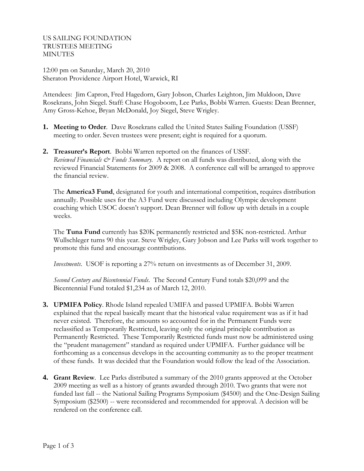US SAILING FOUNDATION TRUSTEES MEETING MINUTES

12:00 pm on Saturday, March 20, 2010 Sheraton Providence Airport Hotel, Warwick, RI

Attendees: Jim Capron, Fred Hagedorn, Gary Jobson, Charles Leighton, Jim Muldoon, Dave Rosekrans, John Siegel. Staff: Chase Hogoboom, Lee Parks, Bobbi Warren. Guests: Dean Brenner, Amy Gross-Kehoe, Bryan McDonald, Joy Siegel, Steve Wrigley.

- **1. Meeting to Order**. Dave Rosekrans called the United States Sailing Foundation (USSF) meeting to order. Seven trustees were present; eight is required for a quorum.
- **2. Treasurer's Report**. Bobbi Warren reported on the finances of USSF. *Reviewed Financials & Funds Summary.* A report on all funds was distributed, along with the reviewed Financial Statements for 2009 & 2008. A conference call will be arranged to approve the financial review.

The **America3 Fund**, designated for youth and international competition, requires distribution annually. Possible uses for the A3 Fund were discussed including Olympic development coaching which USOC doesn't support. Dean Brenner will follow up with details in a couple weeks.

The **Tuna Fund** currently has \$20K permanently restricted and \$5K non-restricted. Arthur Wullschleger turns 90 this year. Steve Wrigley, Gary Jobson and Lee Parks will work together to promote this fund and encourage contributions.

*Investments*. USOF is reporting a 27% return on investments as of December 31, 2009.

*Second Century and Bicentennial Funds*. The Second Century Fund totals \$20,099 and the Bicentennial Fund totaled \$1,234 as of March 12, 2010.

- **3. UPMIFA Policy**. Rhode Island repealed UMIFA and passed UPMIFA. Bobbi Warren explained that the repeal basically meant that the historical value requirement was as if it had never existed. Therefore, the amounts so accounted for in the Permanent Funds were reclassified as Temporarily Restricted, leaving only the original principle contribution as Permanently Restricted. These Temporarily Restricted funds must now be administered using the "prudent management" standard as required under UPMIFA. Further guidance will be forthcoming as a concensus develops in the accounting community as to the proper treatment of these funds. It was decided that the Foundation would follow the lead of the Association.
- **4. Grant Review**. Lee Parks distributed a summary of the 2010 grants approved at the October 2009 meeting as well as a history of grants awarded through 2010. Two grants that were not funded last fall -- the National Sailing Programs Symposium (\$4500) and the One-Design Sailing Symposium (\$2500) -- were reconsidered and recommended for approval. A decision will be rendered on the conference call.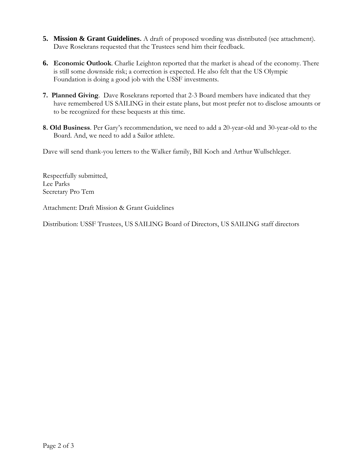- **5. Mission & Grant Guidelines.** A draft of proposed wording was distributed (see attachment). Dave Rosekrans requested that the Trustees send him their feedback.
- **6. Economic Outlook**. Charlie Leighton reported that the market is ahead of the economy. There is still some downside risk; a correction is expected. He also felt that the US Olympic Foundation is doing a good job with the USSF investments.
- **7. Planned Giving**. Dave Rosekrans reported that 2-3 Board members have indicated that they have remembered US SAILING in their estate plans, but most prefer not to disclose amounts or to be recognized for these bequests at this time.
- **8. Old Business**. Per Gary's recommendation, we need to add a 20-year-old and 30-year-old to the Board. And, we need to add a Sailor athlete.

Dave will send thank-you letters to the Walker family, Bill Koch and Arthur Wullschleger.

Respectfully submitted, Lee Parks Secretary Pro Tem

Attachment: Draft Mission & Grant Guidelines

Distribution: USSF Trustees, US SAILING Board of Directors, US SAILING staff directors